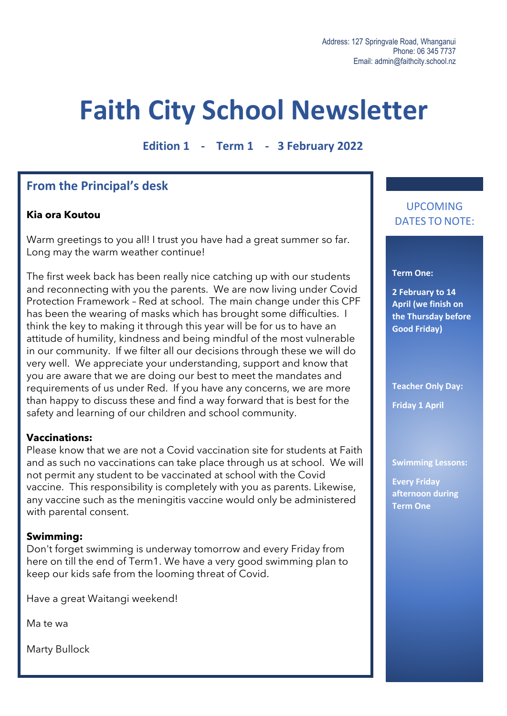# **Faith City School Newsletter**

**Edition 1 - Term 1 - 3 February 2022**

## **From the Principal's desk**

#### **Kia ora Koutou**

Warm greetings to you all! I trust you have had a great summer so far. Long may the warm weather continue!

The first week back has been really nice catching up with our students and reconnecting with you the parents. We are now living under Covid Protection Framework – Red at school. The main change under this CPF has been the wearing of masks which has brought some difficulties. I think the key to making it through this year will be for us to have an attitude of humility, kindness and being mindful of the most vulnerable in our community. If we filter all our decisions through these we will do very well. We appreciate your understanding, support and know that you are aware that we are doing our best to meet the mandates and requirements of us under Red. If you have any concerns, we are more than happy to discuss these and find a way forward that is best for the safety and learning of our children and school community.

#### **Vaccinations:**

Please know that we are not a Covid vaccination site for students at Faith and as such no vaccinations can take place through us at school. We will not permit any student to be vaccinated at school with the Covid vaccine. This responsibility is completely with you as parents. Likewise, any vaccine such as the meningitis vaccine would only be administered with parental consent.

#### **Swimming:**

Don't forget swimming is underway tomorrow and every Friday from here on till the end of Term1. We have a very good swimming plan to keep our kids safe from the looming threat of Covid.

Have a great Waitangi weekend!

Ma te wa

Marty Bullock

### UPCOMING DATES TO NOTE:

#### **Term One:**

**2 February to 14 April (we finish on the Thursday before Good Friday)**

**Teacher Only Day: Friday 1 April**

**Swimming Lessons:**

**Every Friday afternoon during Term One**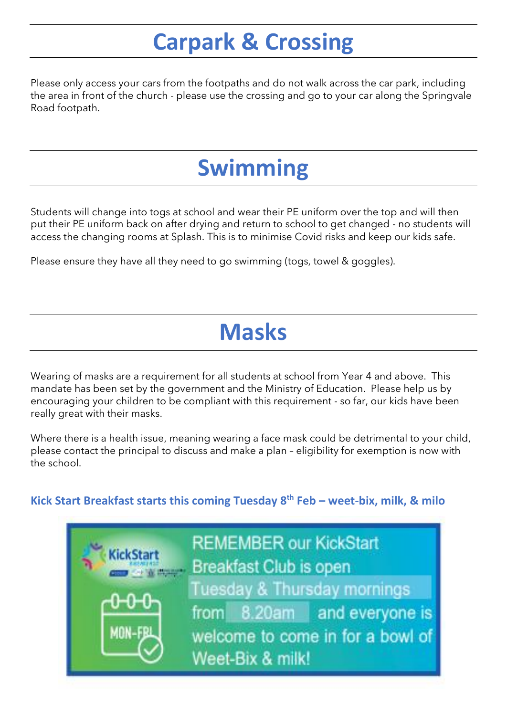## **Carpark & Crossing**

Please only access your cars from the footpaths and do not walk across the car park, including the area in front of the church - please use the crossing and go to your car along the Springvale Road footpath.

## **Swimming**

Students will change into togs at school and wear their PE uniform over the top and will then put their PE uniform back on after drying and return to school to get changed - no students will access the changing rooms at Splash. This is to minimise Covid risks and keep our kids safe.

Please ensure they have all they need to go swimming (togs, towel & goggles).

## **Masks**

Wearing of masks are a requirement for all students at school from Year 4 and above. This mandate has been set by the government and the Ministry of Education. Please help us by encouraging your children to be compliant with this requirement - so far, our kids have been really great with their masks.

Where there is a health issue, meaning wearing a face mask could be detrimental to your child, please contact the principal to discuss and make a plan – eligibility for exemption is now with the school.

**Kick Start Breakfast starts this coming Tuesday 8th Feb – weet-bix, milk, & milo**